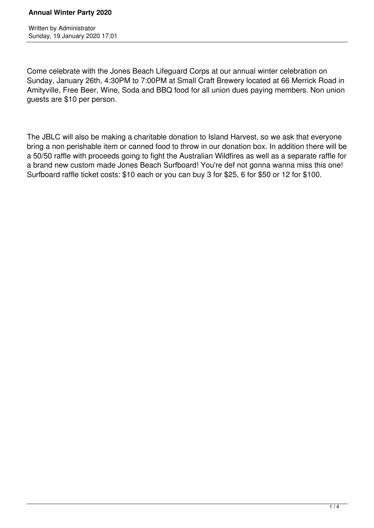Come celebrate with the Jones Beach Lifeguard Corps at our annual winter celebration on Sunday, January 26th, 4:30PM to 7:00PM at Small Craft Brewery located at 66 Merrick Road in Amityville, Free Beer, Wine, Soda and BBQ food for all union dues paying members. Non union guests are \$10 per person.

The JBLC will also be making a charitable donation to Island Harvest, so we ask that everyone bring a non perishable item or canned food to throw in our donation box. In addition there will be a 50/50 raffle with proceeds going to fight the Australian Wildfires as well as a separate raffle for a brand new custom made Jones Beach Surfboard! You're def not gonna wanna miss this one! Surfboard raffle ticket costs: \$10 each or you can buy 3 for \$25, 6 for \$50 or 12 for \$100.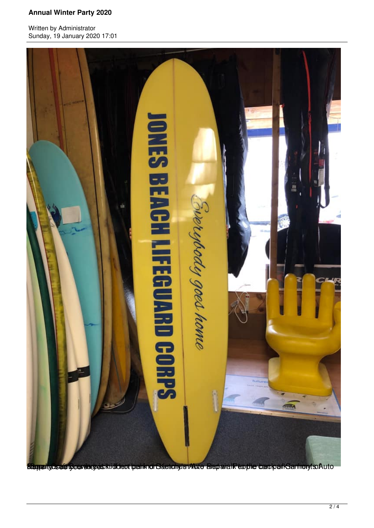## **Annual Winter Party 2020**

Written by Administrator Sunday, 19 January 2020 17:01



**Fammel tyle sale tyde wie eyes kudident peink or Saendiny stAuto Repavalik en pile carcipal Sammy's Auto** shop.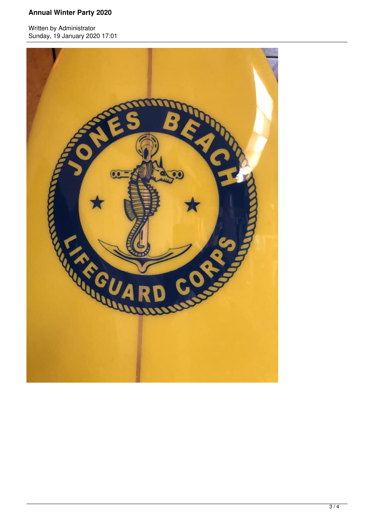## **Annual Winter Party 2020**

Written by Administrator Sunday, 19 January 2020 17:01